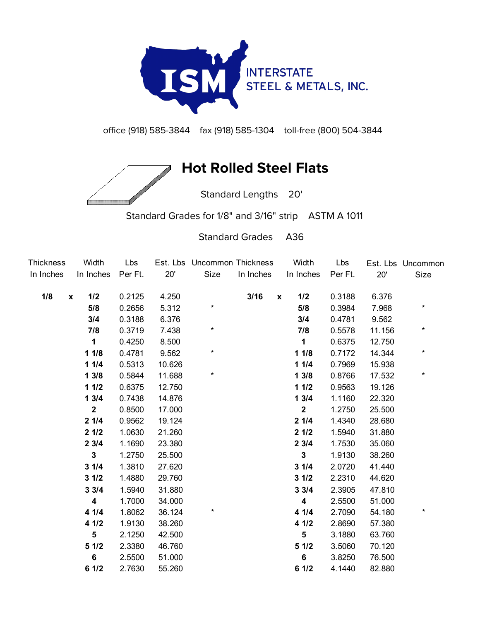

office (918) 585-3844 fax (918) 585-1304 toll-free (800) 504-3844

## **Hot Rolled Steel Flats**

Standard Lengths 20'

Standard Grades for 1/8" and 3/16" strip ASTM A 1011

Standard Grades A36

| Thickness | Width                   | Lbs     |        | Est. Lbs Uncommon Thickness |           | Width               | Lbs     |        | Est. Lbs Uncommon |
|-----------|-------------------------|---------|--------|-----------------------------|-----------|---------------------|---------|--------|-------------------|
| In Inches | In Inches               | Per Ft. | 20'    | Size                        | In Inches | In Inches           | Per Ft. | 20'    | Size              |
| 1/8       | 1/2<br>$\boldsymbol{x}$ | 0.2125  | 4.250  |                             | 3/16      | 1/2<br>$\pmb{\chi}$ | 0.3188  | 6.376  |                   |
|           | 5/8                     | 0.2656  | 5.312  | $^\star$                    |           | 5/8                 | 0.3984  | 7.968  | *                 |
|           | 3/4                     | 0.3188  | 6.376  |                             |           | 3/4                 | 0.4781  | 9.562  |                   |
|           | 7/8                     | 0.3719  | 7.438  | $\star$                     |           | 7/8                 | 0.5578  | 11.156 | $^\star$          |
|           | 1                       | 0.4250  | 8.500  |                             |           | $\mathbf 1$         | 0.6375  | 12.750 |                   |
|           | 11/8                    | 0.4781  | 9.562  | $\star$                     |           | 11/8                | 0.7172  | 14.344 | $\star$           |
|           | 11/4                    | 0.5313  | 10.626 |                             |           | 11/4                | 0.7969  | 15.938 |                   |
|           | 13/8                    | 0.5844  | 11.688 | $\star$                     |           | 13/8                | 0.8766  | 17.532 | $\star$           |
|           | 11/2                    | 0.6375  | 12.750 |                             |           | 11/2                | 0.9563  | 19.126 |                   |
|           | 13/4                    | 0.7438  | 14.876 |                             |           | 13/4                | 1.1160  | 22.320 |                   |
|           | $\mathbf{2}$            | 0.8500  | 17.000 |                             |           | $\mathbf 2$         | 1.2750  | 25.500 |                   |
|           | 21/4                    | 0.9562  | 19.124 |                             |           | 21/4                | 1.4340  | 28.680 |                   |
|           | 21/2                    | 1.0630  | 21.260 |                             |           | 21/2                | 1.5940  | 31.880 |                   |
|           | 23/4                    | 1.1690  | 23.380 |                             |           | 23/4                | 1.7530  | 35.060 |                   |
|           | $\mathbf{3}$            | 1.2750  | 25.500 |                             |           | $\mathbf{3}$        | 1.9130  | 38.260 |                   |
|           | 31/4                    | 1.3810  | 27.620 |                             |           | 31/4                | 2.0720  | 41.440 |                   |
|           | 31/2                    | 1.4880  | 29.760 |                             |           | 31/2                | 2.2310  | 44.620 |                   |
|           | 33/4                    | 1.5940  | 31.880 |                             |           | 33/4                | 2.3905  | 47.810 |                   |
|           | 4                       | 1.7000  | 34.000 |                             |           | 4                   | 2.5500  | 51.000 |                   |
|           | 41/4                    | 1.8062  | 36.124 | $^\star$                    |           | 41/4                | 2.7090  | 54.180 | $^\star$          |
|           | 4 1/2                   | 1.9130  | 38.260 |                             |           | 41/2                | 2.8690  | 57.380 |                   |
|           | 5                       | 2.1250  | 42.500 |                             |           | $5\phantom{1}$      | 3.1880  | 63.760 |                   |
|           | 51/2                    | 2.3380  | 46.760 |                             |           | 51/2                | 3.5060  | 70.120 |                   |
|           | $6\phantom{a}$          | 2.5500  | 51.000 |                             |           | $6\phantom{a}$      | 3.8250  | 76.500 |                   |
|           | 61/2                    | 2.7630  | 55.260 |                             |           | 61/2                | 4.1440  | 82.880 |                   |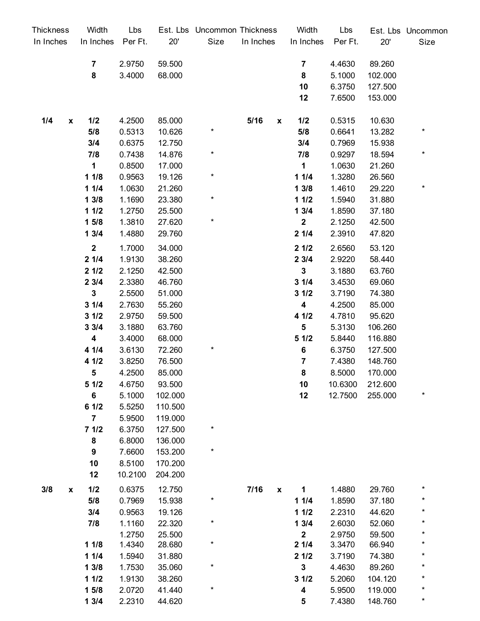| Thickness                 | Width            | Lbs     |         | Est. Lbs Uncommon Thickness |                            | Width                   | Lbs     |         | Est. Lbs Uncommon |
|---------------------------|------------------|---------|---------|-----------------------------|----------------------------|-------------------------|---------|---------|-------------------|
| In Inches                 | In Inches        | Per Ft. | 20'     | Size                        | In Inches                  | In Inches               | Per Ft. | 20'     | Size              |
|                           | $\overline{7}$   | 2.9750  | 59.500  |                             |                            | $\overline{7}$          | 4.4630  | 89.260  |                   |
|                           | 8                | 3.4000  | 68.000  |                             |                            | 8                       | 5.1000  | 102.000 |                   |
|                           |                  |         |         |                             |                            | 10                      | 6.3750  | 127.500 |                   |
|                           |                  |         |         |                             |                            | 12                      | 7.6500  | 153.000 |                   |
| 1/4<br>$\pmb{\mathsf{x}}$ | 1/2              | 4.2500  | 85.000  |                             | 5/16<br>$\pmb{\mathsf{x}}$ | 1/2                     | 0.5315  | 10.630  |                   |
|                           | 5/8              | 0.5313  | 10.626  | *                           |                            | 5/8                     | 0.6641  | 13.282  | $\ast$            |
|                           | 3/4              | 0.6375  | 12.750  |                             |                            | 3/4                     | 0.7969  | 15.938  |                   |
|                           | 7/8              | 0.7438  | 14.876  | *                           |                            | 7/8                     | 0.9297  | 18.594  | $\star$           |
|                           | $\mathbf 1$      | 0.8500  | 17.000  |                             |                            | $\mathbf 1$             | 1.0630  | 21.260  |                   |
|                           | 11/8             | 0.9563  | 19.126  | $^\star$                    |                            | 11/4                    | 1.3280  | 26.560  |                   |
|                           | 11/4             | 1.0630  | 21.260  |                             |                            | 13/8                    | 1.4610  | 29.220  | $\star$           |
|                           | 13/8             | 1.1690  | 23.380  | $^{\star}$                  |                            | 11/2                    | 1.5940  | 31.880  |                   |
|                           | 11/2             | 1.2750  | 25.500  |                             |                            | 13/4                    | 1.8590  | 37.180  |                   |
|                           | 15/8             | 1.3810  | 27.620  | $^{\star}$                  |                            | $\mathbf{2}$            | 2.1250  | 42.500  |                   |
|                           | 13/4             | 1.4880  | 29.760  |                             |                            | 21/4                    | 2.3910  | 47.820  |                   |
|                           | $\overline{2}$   | 1.7000  | 34.000  |                             |                            | 21/2                    | 2.6560  | 53.120  |                   |
|                           | 21/4             | 1.9130  | 38.260  |                             |                            | 23/4                    | 2.9220  | 58.440  |                   |
|                           | 21/2             | 2.1250  | 42.500  |                             |                            | $\mathbf{3}$            | 3.1880  | 63.760  |                   |
|                           | 23/4             | 2.3380  | 46.760  |                             |                            | 31/4                    | 3.4530  | 69.060  |                   |
|                           | $\mathbf{3}$     | 2.5500  | 51.000  |                             |                            | 31/2                    | 3.7190  | 74.380  |                   |
|                           | 31/4             | 2.7630  | 55.260  |                             |                            | 4                       | 4.2500  | 85.000  |                   |
|                           | 31/2             | 2.9750  | 59.500  |                             |                            | 4 1/2                   | 4.7810  | 95.620  |                   |
|                           | 33/4             | 3.1880  | 63.760  |                             |                            | 5                       | 5.3130  | 106.260 |                   |
|                           | 4                | 3.4000  | 68.000  |                             |                            | 51/2                    | 5.8440  | 116.880 |                   |
|                           | 41/4             | 3.6130  | 72.260  | $\ast$                      |                            | $\bf 6$                 | 6.3750  | 127.500 |                   |
|                           | 4 1/2            | 3.8250  | 76.500  |                             |                            | 7                       | 7.4380  | 148.760 |                   |
|                           | 5                | 4.2500  | 85.000  |                             |                            | $\pmb{8}$               | 8.5000  | 170.000 |                   |
|                           | 51/2             | 4.6750  | 93.500  |                             |                            | 10                      | 10.6300 | 212.600 |                   |
|                           | 6                | 5.1000  | 102.000 |                             |                            | 12                      | 12.7500 | 255.000 | $\star$           |
|                           | 61/2             | 5.5250  | 110.500 |                             |                            |                         |         |         |                   |
|                           | $\overline{7}$   | 5.9500  | 119.000 |                             |                            |                         |         |         |                   |
|                           | 71/2             | 6.3750  | 127.500 | *                           |                            |                         |         |         |                   |
|                           | 8                | 6.8000  | 136.000 |                             |                            |                         |         |         |                   |
|                           | $\boldsymbol{9}$ | 7.6600  | 153.200 | $\ast$                      |                            |                         |         |         |                   |
|                           | 10               | 8.5100  | 170.200 |                             |                            |                         |         |         |                   |
|                           | 12               | 10.2100 | 204.200 |                             |                            |                         |         |         |                   |
| 3/8<br>X                  | 1/2              | 0.6375  | 12.750  |                             | 7/16<br>$\pmb{\mathsf{x}}$ | 1                       | 1.4880  | 29.760  | $\star$           |
|                           | 5/8              | 0.7969  | 15.938  | $^\star$                    |                            | 11/4                    | 1.8590  | 37.180  | $^\star$          |
|                           | 3/4              | 0.9563  | 19.126  |                             |                            | 11/2                    | 2.2310  | 44.620  | *                 |
|                           | 7/8              | 1.1160  | 22.320  | $\ast$                      |                            | 13/4                    | 2.6030  | 52.060  | $^\star$          |
|                           |                  | 1.2750  | 25.500  |                             |                            | $\mathbf 2$             | 2.9750  | 59.500  | $^\star$          |
|                           | 11/8             | 1.4340  | 28.680  | $\star$                     |                            | 21/4                    | 3.3470  | 66.940  | *                 |
|                           | 11/4             | 1.5940  | 31.880  |                             |                            | 21/2                    | 3.7190  | 74.380  | $^\star$          |
|                           | 13/8             | 1.7530  | 35.060  | *                           |                            | $\mathbf 3$             | 4.4630  | 89.260  | *                 |
|                           | 11/2             | 1.9130  | 38.260  |                             |                            | 31/2                    | 5.2060  | 104.120 | $\star$           |
|                           | 15/8             | 2.0720  | 41.440  | *                           |                            | $\overline{\mathbf{4}}$ | 5.9500  | 119.000 | $\star$           |
|                           | 13/4             | 2.2310  | 44.620  |                             |                            | 5                       | 7.4380  | 148.760 | $\star$           |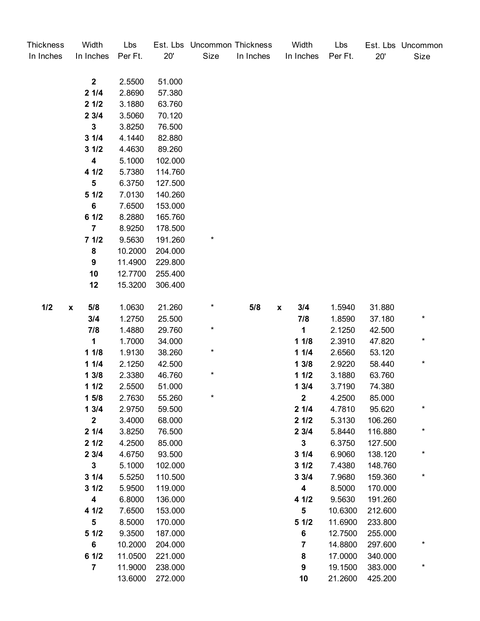| <b>Thickness</b><br>In Inches | Width<br>In Inches | Lbs<br>Per Ft. | 20'     | Est. Lbs Uncommon Thickness<br>Size | In Inches | Width<br>In Inches        | Lbs<br>Per Ft. | 20'     | Est. Lbs Uncommon<br>Size |
|-------------------------------|--------------------|----------------|---------|-------------------------------------|-----------|---------------------------|----------------|---------|---------------------------|
|                               |                    |                |         |                                     |           |                           |                |         |                           |
|                               | $\mathbf{2}$       | 2.5500         | 51.000  |                                     |           |                           |                |         |                           |
|                               | 21/4               | 2.8690         | 57.380  |                                     |           |                           |                |         |                           |
|                               | 21/2               | 3.1880         | 63.760  |                                     |           |                           |                |         |                           |
|                               | 23/4               | 3.5060         | 70.120  |                                     |           |                           |                |         |                           |
|                               | 3                  | 3.8250         | 76.500  |                                     |           |                           |                |         |                           |
|                               | 31/4               | 4.1440         | 82.880  |                                     |           |                           |                |         |                           |
|                               | 31/2               | 4.4630         | 89.260  |                                     |           |                           |                |         |                           |
|                               | $\boldsymbol{4}$   | 5.1000         | 102.000 |                                     |           |                           |                |         |                           |
|                               | 4 1/2              | 5.7380         | 114.760 |                                     |           |                           |                |         |                           |
|                               | 5                  | 6.3750         | 127.500 |                                     |           |                           |                |         |                           |
|                               | 51/2               | 7.0130         | 140.260 |                                     |           |                           |                |         |                           |
|                               | 6                  | 7.6500         | 153.000 |                                     |           |                           |                |         |                           |
|                               | 61/2               | 8.2880         | 165.760 |                                     |           |                           |                |         |                           |
|                               | $\overline{7}$     | 8.9250         | 178.500 |                                     |           |                           |                |         |                           |
|                               | 71/2               | 9.5630         | 191.260 | $^\star$                            |           |                           |                |         |                           |
|                               | ${\bf 8}$          | 10.2000        | 204.000 |                                     |           |                           |                |         |                           |
|                               | 9                  | 11.4900        | 229.800 |                                     |           |                           |                |         |                           |
|                               | 10                 | 12.7700        | 255.400 |                                     |           |                           |                |         |                           |
|                               | 12                 | 15.3200        | 306.400 |                                     |           |                           |                |         |                           |
| 1/2                           | 5/8<br>X           | 1.0630         | 21.260  | $\ast$                              | 5/8       | 3/4<br>$\pmb{\mathsf{x}}$ | 1.5940         | 31.880  |                           |
|                               | 3/4                | 1.2750         | 25.500  |                                     |           | 7/8                       | 1.8590         | 37.180  | $\ast$                    |
|                               | 7/8                | 1.4880         | 29.760  | *                                   |           | $\mathbf 1$               | 2.1250         | 42.500  |                           |
|                               | 1                  | 1.7000         | 34.000  |                                     |           | 11/8                      | 2.3910         | 47.820  | $^\star$                  |
|                               | 11/8               | 1.9130         | 38.260  | *                                   |           | 11/4                      | 2.6560         | 53.120  |                           |
|                               | 11/4               | 2.1250         | 42.500  |                                     |           | 13/8                      | 2.9220         | 58.440  | $^\star$                  |
|                               | 13/8               | 2.3380         | 46.760  | *                                   |           | 11/2                      | 3.1880         | 63.760  |                           |
|                               | 11/2               | 2.5500         | 51.000  |                                     |           | 13/4                      | 3.7190         | 74.380  |                           |
|                               | 15/8               | 2.7630         | 55.260  | *                                   |           | $\mathbf{2}$              | 4.2500         | 85.000  |                           |
|                               | 13/4               | 2.9750         | 59.500  |                                     |           | 21/4                      | 4.7810         | 95.620  | $\star$                   |
|                               | $\overline{2}$     | 3.4000         | 68.000  |                                     |           | 21/2                      | 5.3130         | 106.260 |                           |
|                               | 21/4               | 3.8250         | 76.500  |                                     |           | 23/4                      | 5.8440         | 116.880 | $\star$                   |
|                               | 21/2               | 4.2500         | 85.000  |                                     |           | $\mathbf{3}$              | 6.3750         | 127.500 |                           |
|                               | 23/4               | 4.6750         | 93.500  |                                     |           | 31/4                      | 6.9060         | 138.120 | $^\star$                  |
|                               | $3\phantom{a}$     | 5.1000         | 102.000 |                                     |           | 31/2                      | 7.4380         | 148.760 |                           |
|                               | 31/4               | 5.5250         | 110.500 |                                     |           | 33/4                      | 7.9680         | 159.360 | $\star$                   |
|                               | 31/2               | 5.9500         | 119.000 |                                     |           | 4                         | 8.5000         | 170.000 |                           |
|                               | 4                  | 6.8000         | 136.000 |                                     |           | 4 1/2                     | 9.5630         | 191.260 |                           |
|                               | 4 1/2              | 7.6500         | 153.000 |                                     |           | $5\phantom{.0}$           | 10.6300        | 212.600 |                           |
|                               | $5\phantom{.0}$    | 8.5000         | 170.000 |                                     |           | 51/2                      | 11.6900        | 233.800 |                           |
|                               | 51/2               | 9.3500         | 187.000 |                                     |           | $\bf 6$                   | 12.7500        | 255.000 |                           |
|                               | 6                  | 10.2000        | 204.000 |                                     |           | 7                         | 14.8800        | 297.600 | *                         |
|                               | 61/2               | 11.0500        | 221.000 |                                     |           | 8                         | 17.0000        | 340.000 |                           |
|                               | $\overline{7}$     | 11.9000        | 238.000 |                                     |           | $\boldsymbol{9}$          | 19.1500        | 383.000 | $^\star$                  |
|                               |                    | 13.6000        | 272.000 |                                     |           | 10                        | 21.2600        | 425.200 |                           |
|                               |                    |                |         |                                     |           |                           |                |         |                           |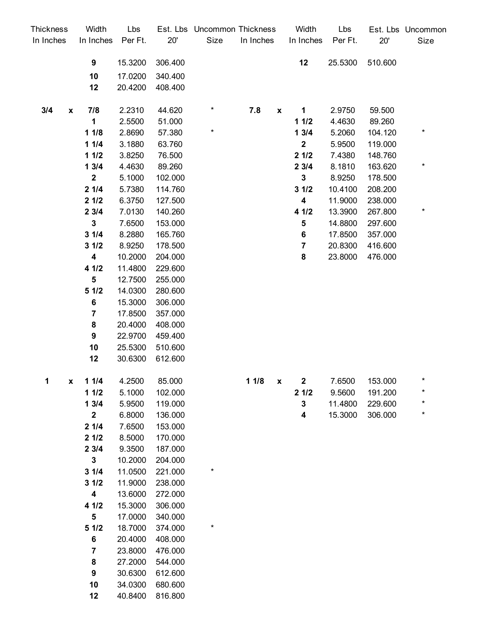| Thickness |                    | Width                   | Lbs              |                  | Est. Lbs Uncommon Thickness |           |                    | Width            | Lbs              |                   | Est. Lbs Uncommon |
|-----------|--------------------|-------------------------|------------------|------------------|-----------------------------|-----------|--------------------|------------------|------------------|-------------------|-------------------|
| In Inches |                    | In Inches               | Per Ft.          | 20'              | Size                        | In Inches |                    | In Inches        | Per Ft.          | 20'               | Size              |
|           |                    | 9                       | 15.3200          | 306.400          |                             |           |                    | 12               | 25.5300          | 510.600           |                   |
|           |                    | 10                      | 17.0200          | 340.400          |                             |           |                    |                  |                  |                   |                   |
|           |                    | 12                      | 20.4200          | 408.400          |                             |           |                    |                  |                  |                   |                   |
|           |                    |                         |                  |                  | *                           |           |                    |                  |                  |                   |                   |
| 3/4       | $\pmb{\mathsf{x}}$ | 7/8<br>1                | 2.2310<br>2.5500 | 44.620<br>51.000 |                             | 7.8       | X                  | 1                | 2.9750           | 59.500            |                   |
|           |                    | 11/8                    | 2.8690           | 57.380           | $\ast$                      |           |                    | 11/2<br>13/4     | 4.4630<br>5.2060 | 89.260<br>104.120 | $\ast$            |
|           | 11/4               | 3.1880                  | 63.760           |                  |                             |           | $\boldsymbol{2}$   | 5.9500           | 119.000          |                   |                   |
|           | 11/2               | 3.8250                  | 76.500           |                  |                             |           | 21/2               | 7.4380           | 148.760          |                   |                   |
|           | 13/4               | 4.4630                  | 89.260           |                  |                             |           | 23/4               | 8.1810           | 163.620          | $\ast$            |                   |
|           |                    | $\mathbf 2$             | 5.1000           | 102.000          |                             |           |                    | $\mathbf{3}$     | 8.9250           | 178.500           |                   |
|           | 21/4               | 5.7380                  | 114.760          |                  |                             |           | 31/2               | 10.4100          | 208.200          |                   |                   |
|           | 21/2               | 6.3750                  | 127.500          |                  |                             |           | $\boldsymbol{4}$   | 11.9000          | 238.000          |                   |                   |
|           |                    | 23/4                    | 7.0130           | 140.260          |                             |           |                    | 4 1/2            | 13.3900          | 267.800           | $\ast$            |
|           | $\mathbf{3}$       | 7.6500                  | 153.000          |                  |                             |           | 5                  | 14.8800          | 297.600          |                   |                   |
|           | 31/4               | 8.2880                  | 165.760          |                  |                             |           | $\bf 6$            | 17.8500          | 357.000          |                   |                   |
|           | 31/2               | 8.9250                  | 178.500          |                  |                             |           | $\overline{7}$     | 20.8300          | 416.600          |                   |                   |
|           |                    | $\overline{\mathbf{4}}$ | 10.2000          | 204.000          |                             |           |                    | 8                | 23.8000          | 476.000           |                   |
|           |                    | 4 1/2                   | 11.4800          | 229.600          |                             |           |                    |                  |                  |                   |                   |
|           |                    | 5                       | 12.7500          | 255.000          |                             |           |                    |                  |                  |                   |                   |
|           |                    | 51/2                    | 14.0300          | 280.600          |                             |           |                    |                  |                  |                   |                   |
|           |                    | 6                       | 15.3000          | 306.000          |                             |           |                    |                  |                  |                   |                   |
|           |                    | $\overline{\mathbf{r}}$ | 17.8500          | 357.000          |                             |           |                    |                  |                  |                   |                   |
|           |                    | ${\bf 8}$               | 20.4000          | 408.000          |                             |           |                    |                  |                  |                   |                   |
|           |                    | 9                       | 22.9700          | 459.400          |                             |           |                    |                  |                  |                   |                   |
|           |                    | 10                      | 25.5300          | 510.600          |                             |           |                    |                  |                  |                   |                   |
|           |                    | 12                      | 30.6300          | 612.600          |                             |           |                    |                  |                  |                   |                   |
|           |                    |                         |                  |                  |                             |           |                    |                  |                  |                   |                   |
| 1         | X                  | 11/4                    | 4.2500           | 85.000           |                             | 11/8      | $\pmb{\mathsf{x}}$ | $\boldsymbol{2}$ | 7.6500           | 153.000           | *                 |
|           |                    | 11/2                    | 5.1000           | 102.000          |                             |           |                    | 21/2             | 9.5600           | 191.200           |                   |
|           |                    | 13/4                    | 5.9500           | 119.000          |                             |           |                    | $\mathbf 3$      | 11.4800          | 229.600           |                   |
|           |                    | $\mathbf 2$             | 6.8000           | 136.000          |                             |           |                    | 4                | 15.3000          | 306.000           | *                 |
|           |                    | 21/4                    | 7.6500           | 153.000          |                             |           |                    |                  |                  |                   |                   |
|           |                    | 21/2                    | 8.5000           | 170.000          |                             |           |                    |                  |                  |                   |                   |
|           |                    | 23/4                    | 9.3500           | 187.000          |                             |           |                    |                  |                  |                   |                   |
|           |                    | 3                       | 10.2000          | 204.000          |                             |           |                    |                  |                  |                   |                   |
|           |                    | 31/4                    | 11.0500          | 221.000          | *                           |           |                    |                  |                  |                   |                   |
|           |                    | 31/2                    | 11.9000          | 238.000          |                             |           |                    |                  |                  |                   |                   |
|           |                    | 4                       | 13.6000          | 272.000          |                             |           |                    |                  |                  |                   |                   |
|           |                    | 4 1/2                   | 15.3000          | 306.000          |                             |           |                    |                  |                  |                   |                   |
|           |                    | $\sqrt{5}$              | 17.0000          | 340.000          |                             |           |                    |                  |                  |                   |                   |
|           |                    | 51/2                    | 18.7000          | 374.000          | *                           |           |                    |                  |                  |                   |                   |
|           |                    | 6                       | 20.4000          | 408.000          |                             |           |                    |                  |                  |                   |                   |
|           |                    | $\overline{7}$          | 23.8000          | 476.000          |                             |           |                    |                  |                  |                   |                   |
|           |                    | 8                       | 27.2000          | 544.000          |                             |           |                    |                  |                  |                   |                   |
|           |                    | 9                       | 30.6300          | 612.600          |                             |           |                    |                  |                  |                   |                   |
|           |                    | 10                      | 34.0300          | 680.600          |                             |           |                    |                  |                  |                   |                   |
|           |                    | 12                      | 40.8400          | 816.800          |                             |           |                    |                  |                  |                   |                   |